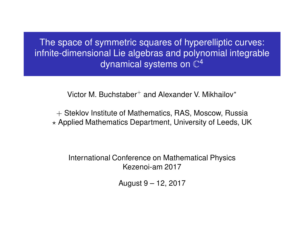The space of symmetric squares of hyperelliptic curves: infnite-dimensional Lie algebras and polynomial integrable dynamical systems on  $\mathbb{C}^4$ 

Victor M. Buchstaber<sup>+</sup> and Alexander V. Mikhailov<sup>\*</sup>

+ Steklov Institute of Mathematics, RAS, Moscow, Russia  $\star$  Applied Mathematics Department, University of Leeds, UK

International Conference on Mathematical Physics Kezenoi-am 2017

August 9 – 12, 2017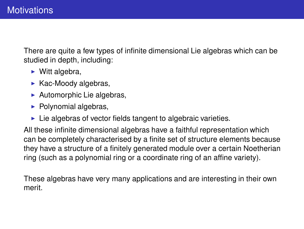There are quite a few types of infinite dimensional Lie algebras which can be studied in depth, including:

- $\blacktriangleright$  Witt algebra,
- $\blacktriangleright$  Kac-Moody algebras,
- $\blacktriangleright$  Automorphic Lie algebras,
- $\blacktriangleright$  Polynomial algebras,
- $\blacktriangleright$  Lie algebras of vector fields tangent to algebraic varieties.

All these infinite dimensional algebras have a faithful representation which can be completely characterised by a finite set of structure elements because they have a structure of a finitely generated module over a certain Noetherian ring (such as a polynomial ring or a coordinate ring of an affine variety).

These algebras have very many applications and are interesting in their own merit.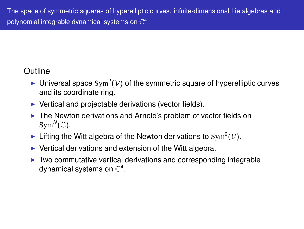## **Outline**

- $\blacktriangleright$  Universal space Sym<sup>2</sup>( $\mathcal{V}$ ) of the symmetric square of hyperelliptic curves and its coordinate ring.
- $\triangleright$  Vertical and projectable derivations (vector fields).
- ▶ The Newton derivations and Arnold's problem of vector fields on  $Sym^N(\mathbb{C})$ .
- Ifting the Witt algebra of the Newton derivations to Sym<sup>2</sup>( $V$ ).
- $\triangleright$  Vertical derivations and extension of the Witt algebra.
- ◮ Two commutative vertical derivations and corresponding integrable dynamical systems on  $\mathbb{C}^4.$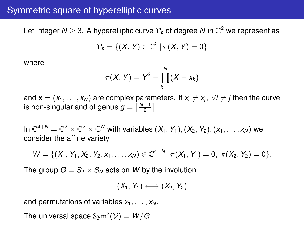## Symmetric square of hyperelliptic curves

Let integer  $N\geq 3.$  A hyperelliptic curve  $\mathcal{V}_{\mathbf{x}}$  of degree  $N$  in  $\mathbb{C}^2$  we represent as

$$
\mathcal{V}_{\textbf{x}}=\{(X,Y)\in\mathbb{C}^2\,|\,\pi(X,Y)=0\}
$$

where

$$
\pi(X, Y) = Y^2 - \prod_{k=1}^{N} (X - x_k)
$$

and  $\mathbf{x} = (x_1, \ldots, x_N)$  are complex parameters. If  $x_i \neq x_i$ ,  $\forall i \neq j$  then the curve is non-singular and of genus  $g = \left[\frac{N-1}{2}\right]$ .

In  $\mathbb{C}^{4+N}=\mathbb{C}^2\times\mathbb{C}^2\times\mathbb{C}^N$  with variables  $(X_1,Y_1),(X_2,Y_2),(x_1,\ldots,x_N)$  we consider the affine variety

$$
W = \{ (X_1, Y_1, X_2, Y_2, X_1, \ldots, X_N) \in \mathbb{C}^{4+N} \mid \pi(X_1, Y_1) = 0, \ \pi(X_2, Y_2) = 0 \}.
$$

The group  $G = S_2 \times S_N$  acts on W by the involution

$$
(X_1, Y_1) \longleftrightarrow (X_2, Y_2)
$$

and permutations of variables  $x_1, \ldots, x_N$ .

The universal space  $\mathrm{Sym}^2(\mathcal{V})=W/G.$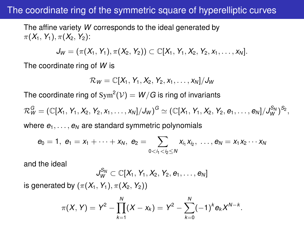### The coordinate ring of the symmetric square of hyperelliptic curves

The affine variety *W* corresponds to the ideal generated by  $\pi(X_1, Y_1), \pi(X_2, Y_2)$ :

$$
J_W = (\pi(X_1, Y_1), \pi(X_2, Y_2)) \subset \mathbb{C}[X_1, Y_1, X_2, Y_2, x_1, \ldots, x_N].
$$

The coordinate ring of *W* is

$$
\mathcal{R}_W=\mathbb{C}[X_1,Y_1,X_2,Y_2,x_1,\ldots,x_N]/J_W
$$

The coordinate ring of  $\mathrm{Sym}^2(\mathcal{V}) = W/G$  is ring of invariants

 $\mathcal{R}_W^G = (\mathbb{C}[X_1, Y_1, X_2, Y_2, x_1, \ldots, x_N]/J_W)^G \simeq (\mathbb{C}[X_1, Y_1, X_2, Y_2, e_1, \ldots, e_N]/J_W^{S_N})^{S_2},$ 

where  $e_1, \ldots, e_N$  are standard symmetric polynomials

$$
e_0 = 1, e_1 = x_1 + \cdots + x_N, e_2 = \sum_{0 < i_1 < i_2 \leq N} x_{i_1} x_{i_2}, \ldots, e_N = x_1 x_2 \cdots x_N
$$

and the ideal

$$
J_W^{S_N} \subset \mathbb{C}[X_1, Y_1, X_2, Y_2, e_1, \ldots, e_N]
$$

is generated by  $(\pi(X_1, Y_1), \pi(X_2, Y_2))$ 

$$
\pi(X, Y) = Y^2 - \prod_{k=1}^{N} (X - x_k) = Y^2 - \sum_{k=0}^{N} (-1)^k e_k X^{N-k}
$$

.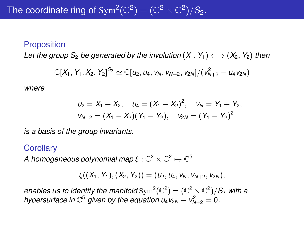#### **Proposition**

*Let the group*  $S_2$  *be generated by the involution*  $(X_1, Y_1) \longleftrightarrow (X_2, Y_2)$  *then* 

$$
\mathbb{C}[X_1, Y_1, X_2, Y_2]^{S_2} \simeq \mathbb{C}[u_2, u_4, v_5, v_{N+2}, v_{2N}]/(v_{N+2}^2 - u_4v_{2N})
$$

*where*

$$
u_2 = X_1 + X_2, \quad u_4 = (X_1 - X_2)^2, \quad v_N = Y_1 + Y_2,
$$
  

$$
v_{N+2} = (X_1 - X_2)(Y_1 - Y_2), \quad v_{2N} = (Y_1 - Y_2)^2
$$

*is a basis of the group invariants.*

#### **Corollary**

A homogeneous polynomial map  $\xi:\mathbb{C}^2\times\mathbb{C}^2\mapsto\mathbb{C}^5$ 

$$
\xi((X_1,Y_1),(X_2,Y_2))=(u_2,u_4,v_N,v_{N+2},v_{2N}),
$$

enables us to identify the manifold  $\text{Sym}^2(\mathbb{C}^2) = (\mathbb{C}^2 \times \mathbb{C}^2)/S_2$  with a *hypersurface in*  $\mathbb{C}^5$  *given by the equation u<sub>4</sub>v*<sub>2*N*</sub> − *v*<sub> $N+2$ </sub> = 0*.*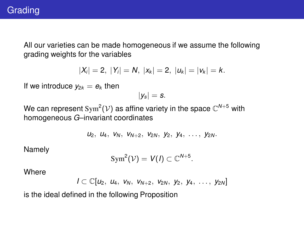## **Grading**

All our varieties can be made homogeneous if we assume the following grading weights for the variables

$$
|X_i| = 2, |Y_i| = N, |x_k| = 2, |u_k| = |v_k| = k.
$$

If we introduce  $y_{2k} = e_k$  then

$$
|y_s|=s.
$$

We can represent  $\mathrm{Sym}^2(\mathcal{V})$  as affine variety in the space  $\mathbb{C}^{N+5}$  with homogeneous *G*–invariant coordinates

*u*2, *u*4, *v<sup>N</sup>* , *v<sup>N</sup>*+<sup>2</sup>, *v*2*<sup>N</sup>* , *y*2, *y*4, . . . , *y*2*<sup>N</sup>* .

Namely

$$
\mathrm{Sym}^2(\mathcal{V})=V(I)\subset\mathbb{C}^{N+5}.
$$

**Where** 

$$
I\subset \mathbb{C}[u_2, u_4, v_8, v_{N+2}, v_{2N}, y_2, y_4, \ldots, y_{2N}]
$$

is the ideal defined in the following Proposition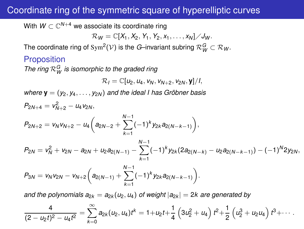## Coordinate ring of the symmetric square of hyperelliptic curves

With  $W \subset \mathbb{C}^{N+4}$  we associate its coordinate ring

$$
\mathcal{R}_W=\mathbb{C}[X_1,X_2,Y_1,Y_2,x_1,\ldots,x_N]/J_W.
$$

The coordinate ring of  $\text{Sym}^2(\mathcal{V})$  is the *G*–invariant subring  $\mathcal{R}_W^G \subset \mathcal{R}_W$ .

#### **Proposition**

The ring  $\mathcal{R}_{W}^{G}$  is isomorphic to the graded ring

$$
\mathcal{R}_I=\mathbb{C}[u_2,u_4,v_N,v_{N+2},v_{2N},\mathbf{y}]/I,
$$

*where*  $\mathbf{y} = (y_2, y_4, \dots, y_{2N})$  *and the ideal I has Gröbner basis*  $P_{2N+4} = V_{N+2}^2 - u_4 v_{2N}$ 

$$
P_{2N+2} = v_N v_{N+2} - u_4 \left( a_{2N-2} + \sum_{k=1}^{N-1} (-1)^k y_{2k} a_{2(N-k-1)} \right),
$$

$$
P_{2N} = v_N^2 + v_{2N} - a_{2N} + u_2 a_{2(N-1)} - \sum_{k=1}^{N-1} (-1)^k y_{2k} (2a_{2(N-k)} - u_2 a_{2(N-k-1)}) - (-1)^N 2y_{2N},
$$

$$
P_{3N}=v_Nv_{2N}-v_{N+2}\bigg(a_{2(N-1)}+\sum_{k=1}^{N-1}(-1)^k y_{2k}a_{2(N-k-1)}\bigg).
$$

*and the polynomials*  $a_{2k} = a_{2k}(u_2, u_4)$  *of weight*  $|a_{2k}| = 2k$  are generated by

$$
\frac{4}{(2-u_2t)^2-u_4t^2}=\sum_{k=0}^{\infty}a_{2k}(u_2,u_4)t^k=1+u_2t+\frac{1}{4}\left(3u_2^2+u_4\right)t^2+\frac{1}{2}\left(u_2^3+u_2u_4\right)t^3+\cdots.
$$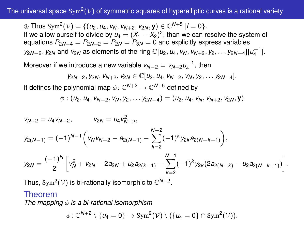#### The universal space  $\text{Sym}^2(\mathcal{V})$  of symmetric squares of hyperelliptic curves is a rational variety

⊛ Thus Sym<sup>2</sup>( $V$ ) = {( $u_2$ ,  $u_4$ ,  $v_N$ ,  $v_{N+2}$ ,  $v_{2N}$ , **y**) ∈  $\mathbb{C}^{N+5}$  |*I* = 0}. If we allow ourself to divide by  $u_4 = (X_1 - X_2)^2$ , than we can resolve the system of equations  $P_{2N+4} = P_{2N+2} = P_{2N} = P_{3N} = 0$  and explicitly express variables *y*<sub>2*N−2</sub>, <i>y*<sub>2</sub>*N*</sub> and *v*<sub>2*N*</sub> as elements of the ring ℂ[*u*<sub>2</sub>, *u*<sub>4</sub>, *v*<sub>*N*</sub>, *v*<sub>*N*+2</sub>, *y*<sub>2</sub>, . . . *y*<sub>2*N−*4</sub>][*u*<sub>4</sub><sup>−1</sup>].</sub>

Moreover if we introduce a new variable  $v_{N-2} = v_{N+2} u_4^{-1}$ , then

$$
y_{2N-2}, y_{2N}, v_{N+2}, v_{2N} \in \mathbb{C}[u_2, u_4, v_{N-2}, v_N, y_2, \ldots y_{2N-4}].
$$

It defines the polynomial map  $\phi\colon \mathbb{C}^{N+2}\to \mathbb{C}^{N+5}$  defined by

$$
\phi: (u_2, u_4, v_{N-2}, v_N, y_2, \ldots y_{2N-4}) = (u_2, u_4, v_N, v_{N+2}, v_{2N}, \mathbf{y})
$$

$$
v_{N+2} = u_4 v_{N-2}, \t v_{2N} = u_4 v_{N-2}^2,
$$
  
\n
$$
y_{2(N-1)} = (-1)^{N-1} \left( v_N v_{N-2} - a_{2(N-1)} - \sum_{k=2}^{N-2} (-1)^k y_{2k} a_{2(N-k-1)} \right),
$$
  
\n
$$
y_{2N} = \frac{(-1)^N}{2} \left[ v_N^2 + v_{2N} - 2a_{2N} + u_2 a_{2(k-1)} - \sum_{k=2}^{N-1} (-1)^k y_{2k} (2a_{2(N-k)} - u_2 a_{2(N-k-1)}) \right].
$$

 $\overline{k-2}$ 

Thus, Sym<sup>2</sup>( $V$ ) is bi-rationally isomorphic to  $\mathbb{C}^{N+2}$ .

#### Theorem

*The mapping* φ *is a bi-rational isomorphism*

$$
\phi\colon \mathbb{C}^{N+2}\setminus\{u_4=0\}\to \text{Sym}^2(\mathcal{V})\setminus (\{u_4=0\}\cap \text{Sym}^2(\mathcal{V})).
$$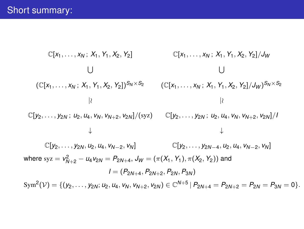$$
\mathbb{C}[x_1, \ldots, x_N; X_1, Y_1, X_2, Y_2] \qquad \mathbb{C}[x_1, \ldots, x_N; X_1, Y_1, X_2, Y_2]/J_W
$$
\n
$$
\cup
$$
\n
$$
\cup
$$
\n
$$
\mathbb{C}[x_1, \ldots, x_N; X_1, Y_1, X_2, Y_2])^{S_N \times S_2} \qquad (\mathbb{C}[x_1, \ldots, x_N; X_1, Y_1, X_2, Y_2]/J_W)^{S_N \times S_2}
$$
\n
$$
\upharpoonright
$$
\n
$$
\mathbb{C}[y_2, \ldots, y_{2N}; u_2, u_4, v_N, v_{N+2}, v_{2N}]/(\text{Syz}) \qquad \mathbb{C}[y_2, \ldots, y_{2N}; u_2, u_4, v_N, v_{N+2}, v_{2N}]/I
$$
\n
$$
\downarrow
$$
\n
$$
\mathbb{C}[y_2, \ldots, y_{2N}, u_2, u_4, v_{N-2}, v_N] \qquad \mathbb{C}[y_2, \ldots, y_{2N-4}, u_2, u_4, v_{N-2}, v_N]
$$
\nwhere  $\text{Syz} = v_{N+2}^2 - u_4 v_{2N} = P_{2N+4}, J_W = (\pi(X_1, Y_1), \pi(X_2, Y_2))$  and  
\n
$$
I = (P_{2N+4}, P_{2N+2}, P_{2N}, P_{3N})
$$
\n
$$
\text{Sym}^2(\mathcal{V}) = \{(y_2, \ldots, y_{2N}; u_2, u_4, v_N, v_{N+2}, v_{2N}) \in \mathbb{C}^{N+5} | P_{2N+4} = P_{2N+2} = P_{2N} = P_{3N} = 0 \}.
$$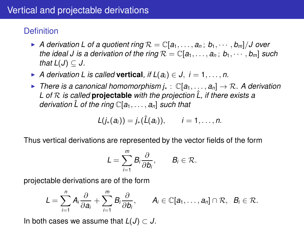## **Definition**

- $\blacktriangleright$  *A derivation L of a quotient ring*  $\mathcal{R} = \mathbb{C}[a_1, \ldots, a_n; b_1, \cdots, b_m]/J$  over *the ideal J is a derivation of the ring*  $\mathcal{R} = \mathbb{C}[a_1, \ldots, a_n; b_1, \cdots, b_m]$  *such that*  $L(J) \subset J$ .
- ▶ *A derivation L is called* **vertical**, if  $L(a_i) \in J$ ,  $i = 1, \ldots, n$ .
- ◮ *There is a canonical homomorphism j*<sup>∗</sup> : C[*a*1, . . . , *an*] → R*. A derivation L of* R *is called* **projectable** *with the projection L, if there exists a* ˆ *derivation*  $\hat{L}$  *of the ring*  $\mathbb{C}[a_1, \ldots, a_n]$  *such that*

$$
L(j_*(a_i))=j_*(\hat{L}(a_i)), \qquad i=1,\ldots,n.
$$

Thus vertical derivations are represented by the vector fields of the form

$$
L=\sum_{i=1}^m B_i\frac{\partial}{\partial b_i},\qquad B_i\in\mathcal{R}.
$$

projectable derivations are of the form

$$
L=\sum_{i=1}^n A_i\frac{\partial}{\partial a_i}+\sum_{i=1}^m B_i\frac{\partial}{\partial b_i},\qquad A_i\in\mathbb{C}[a_1,\ldots,a_n]\cap\mathcal{R},\ \ B_i\in\mathcal{R}.
$$

In both cases we assume that  $L(J) \subset J$ .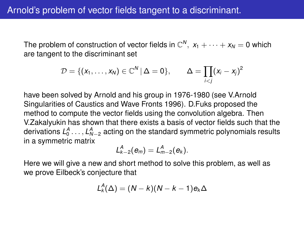The problem of construction of vector fields in  $\mathbb{C}^N, \ x_1 + \cdots + x_N = 0$  which are tangent to the discriminant set

$$
\mathcal{D} = \{ (x_1,\ldots,x_N) \in \mathbb{C}^N \, | \, \Delta = 0 \}, \qquad \Delta = \prod_{i < j} (x_i - x_j)^2
$$

have been solved by Arnold and his group in 1976-1980 (see V.Arnold Singularities of Caustics and Wave Fronts 1996). D.Fuks proposed the method to compute the vector fields using the convolution algebra. Then V.Zakalyukin has shown that there exists a basis of vector fields such that the derivations  $L_0^A$   $\ldots$  ,  $L_{N-2}^A$  acting on the standard symmetric polynomials results in a symmetric matrix

$$
L_{k-2}^A(e_m)=L_{m-2}^A(e_k).
$$

Here we will give a new and short method to solve this problem, as well as we prove Eilbeck's conjecture that

$$
L_k^A(\Delta)=(N-k)(N-k-1)e_k\Delta
$$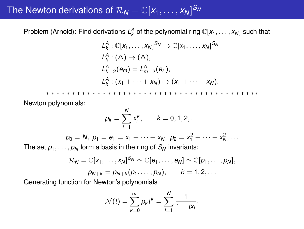# The Newton derivations of  $\mathcal{R}_N = \mathbb{C}[x_1,\ldots,x_N]^{S_N}$

Problem (Arnold): Find derivations  $L_k^A$  of the polynomial ring  $\mathbb{C}[x_1,\ldots,x_N]$  such that

$$
L_k^A: \mathbb{C}[x_1,\ldots,x_N]^{S_N} \mapsto \mathbb{C}[x_1,\ldots,x_N]^{S_N}
$$
  
\n
$$
L_k^A: (\Delta) \mapsto (\Delta),
$$
  
\n
$$
L_{k-2}^A(e_m) = L_{m-2}^A(e_k),
$$
  
\n
$$
L_k^A: (x_1 + \cdots + x_N) \mapsto (x_1 + \cdots + x_N).
$$

∗ ∗ ∗ ∗ ∗ ∗ ∗ ∗ ∗ ∗ ∗ ∗ ∗ ∗ ∗ ∗ ∗ ∗ ∗ ∗ ∗ ∗ ∗ ∗ ∗ ∗ ∗ ∗ ∗ ∗ ∗ ∗ ∗ ∗ ∗ ∗ ∗ ∗ ∗ ∗ ∗∗ Newton polynomials:

$$
p_k = \sum_{i=1}^N x_i^k
$$
,  $k = 0, 1, 2, ...$ 

 $p_0 = N$ ,  $p_1 = e_1 = x_1 + \cdots + x_N$ ,  $p_2 = x_1^2 + \cdots + x_N^2$ , ...

The set  $p_1, \ldots, p_N$  form a basis in the ring of  $S_N$  invariants:

$$
\mathcal{R}_N=\mathbb{C}[x_1,\ldots,x_N]^{S_N}\simeq \mathbb{C}[e_1,\ldots,e_N]\simeq \mathbb{C}[p_1,\ldots,p_N],
$$
  

$$
p_{N+k}=p_{N+k}(p_1,\ldots,p_N),\qquad k=1,2,\ldots
$$

Generating function for Newton's polynomials

$$
\mathcal{N}(t)=\sum_{k=0}^{\infty}p_k t^k=\sum_{i=1}^N\frac{1}{1-tx_i}.
$$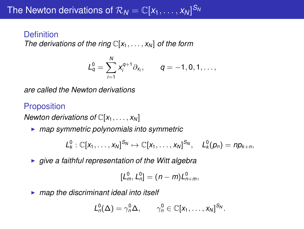### **Definition**

*The derivations of the ring* C[*x*1, . . . , *x<sup>N</sup>* ] *of the form*

$$
L_q^0 = \sum_{i=1}^N x_i^{q+1} \partial_{x_i}, \qquad q = -1, 0, 1, \ldots,
$$

*are called the Newton derivations*

## **Proposition**

*Newton derivations of*  $\mathbb{C}[x_1, \ldots, x_N]$ 

◮ *map symmetric polynomials into symmetric*

$$
L_k^0: \mathbb{C}[x_1,\ldots,x_N]^{S_N} \mapsto \mathbb{C}[x_1,\ldots,x_N]^{S_N}, \quad L_k^0(p_n) = np_{k+n},
$$

◮ *give a faithful representation of the Witt algebra*

$$
[L_m^0, L_n^0] = (n-m)L_{n+m}^0,
$$

◮ *map the discriminant ideal into itself*

$$
L_n^0(\Delta)=\gamma_n^0\Delta,\qquad \gamma_n^0\in\mathbb{C}[x_1,\ldots,x_N]^{S_N}.
$$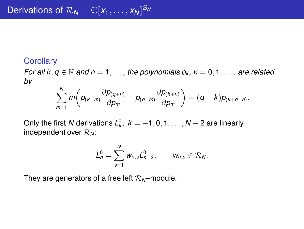### **Corollary**

*For all k*,  $q \in \mathbb{N}$  *and n* = 1, ..., the polynomials  $p_k$ ,  $k = 0, 1, \ldots$ , are related *by*

$$
\sum_{m=1}^N m\bigg(p_{(k+m)}\frac{\partial p_{(q+n)}}{\partial p_m}-p_{(q+m)}\frac{\partial p_{(k+n)}}{\partial p_m}\bigg)=(q-k)p_{(k+q+n)}.
$$

Only the first  $N$  derivations  ${\mathcal L}^0_\kappa,\ k=-1,0,1,\ldots,N-2$  are linearly independent over R*<sup>N</sup>* :

$$
L_n^0=\sum_{s=1}^N w_{n,s}L_{s-2}^0, \qquad w_{n,s}\in \mathcal{R}_N.
$$

They are generators of a free left  $\mathcal{R}_N$ –module.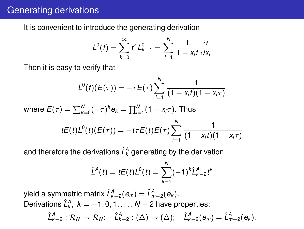## Generating derivations

It is convenient to introduce the generating derivation

$$
L^{0}(t)=\sum_{k=0}^{\infty}t^{k}L_{k-1}^{0}=\sum_{i=1}^{N}\frac{1}{1-x_{i}t}\frac{\partial}{\partial x_{i}}
$$

Then it is easy to verify that

$$
L^{0}(t)(E(\tau)) = -\tau E(\tau) \sum_{i=1}^{N} \frac{1}{(1 - x_{i}t)(1 - x_{i}\tau)}
$$

where  $E(\tau) = \sum_{k=0}^{N} (-\tau)^k e_k = \prod_{i=1}^{N} (1 - x_i \tau)$ . Thus

$$
tE(t)L^{0}(t)(E(\tau)) = -t\tau E(t)E(\tau)\sum_{i=1}^{N}\frac{1}{(1-x_{i}t)(1-x_{i}\tau)}
$$

and therefore the derivations  $\hat{L}^A_k$  generating by the derivation

$$
\hat{L}^{A}(t) = tE(t)L^{0}(t) = \sum_{k=1}^{N} (-1)^{k} \hat{L}_{k-2}^{A} t^{k}
$$

yield a symmetric matrix  $\hat{L}^{A}_{k-2}(\bm{e}_m)=\hat{L}^{A}_{m-2}(\bm{e}_k).$ Derivations  $\hat{L}^{A}_k$ ,  $k = -1, 0, 1, \ldots, N-2$  have properties:  $\hat{L}^A_{k-2} : \mathcal{R}_N \mapsto \mathcal{R}_N; \quad \hat{L}^A_{k-2} : (\Delta) \mapsto (\Delta); \quad \hat{L}^A_{k-2}(\boldsymbol{e}_m) = \hat{L}^A_{m-2}(\boldsymbol{e}_k).$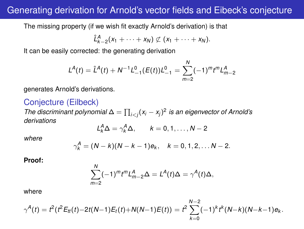## Generating derivation for Arnold's vector fields and Eibeck's conjecture

The missing property (if we wish fit exactly Arnold's derivation) is that

$$
\hat{L}_{k-2}^A(x_1+\cdots+x_N)\not\subset (x_1+\cdots+x_N).
$$

It can be easily corrected: the generating derivation

$$
L^{A}(t) = \hat{L}^{A}(t) + N^{-1}L_{-1}^{0}(E(t))L_{-1}^{0} = \sum_{m=2}^{N} (-1)^{m} t^{m} L_{m-2}^{A}
$$

generates Arnold's derivations.

### Conjecture (Eilbeck)

*The discriminant polynomial*  $\Delta = \prod_{i < j} (x_i - x_j)^2$  is an eigenvector of Arnold's *derivations*

$$
L_k^A \Delta = \gamma_k^A \Delta, \qquad k = 0, 1, \dots, N-2
$$

*where*

$$
\gamma_k^A = (N-k)(N-k-1)e_k, \quad k = 0, 1, 2, \ldots N-2.
$$

**Proof:**

$$
\sum_{m=2}^N (-1)^m t^m L_{m-2}^A \Delta = L^A(t) \Delta = \gamma^A(t) \Delta,
$$

where

$$
\gamma^{A}(t)=t^{2}(t^{2}E_{t}(t)-2t(N-1)E_{t}(t)+N(N-1)E(t))=t^{2}\sum_{k=0}^{N-2}(-1)^{k}t^{k}(N-k)(N-k-1)e_{k}.
$$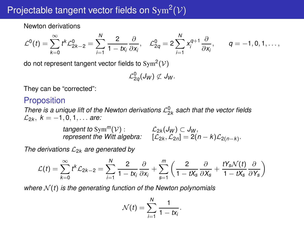# Projectable tangent vector fields on  $\text{Sym}^2(\mathcal{V})$

Newton derivations

$$
\mathcal{L}^0(t)=\sum_{k=0}^{\infty} t^k \mathcal{L}_{2k-2}^0=\sum_{i=1}^N \frac{2}{1-tx_i}\frac{\partial}{\partial x_i},\quad \mathcal{L}_{2q}^0=2\sum_{i=1}^N x_i^{q+1}\frac{\partial}{\partial x_i},\qquad q=-1,0,1,\ldots,
$$

do not represent tangent vector fields to  $\mathrm{Sym}^2(\mathcal{V})$ 

$$
\mathcal{L}_{2q}^{0}(J_{W})\not\subset J_{W}.
$$

They can be "corrected":

### Proposition

There is a unique lift of the Newton derivations  $\mathcal{L}_{2k}^0$  sach that the vector fields  $\mathcal{L}_{2k}, k = -1, 0, 1, \ldots$  *are:* 

> *tangent to* Sym<sup>*m*</sup>( $V$ ) :  $\qquad \qquad$   $\mathcal{L}_{2k}(J_W) \subset J_W$ , *represent the Witt algebra:*  $[\mathcal{L}_{2k}, \mathcal{L}_{2n}] = 2(n-k)\mathcal{L}_{2(n-k)}$ .

*The derivations*  $\mathcal{L}_{2k}$  *are generated by* 

$$
\mathcal{L}(t) = \sum_{k=0}^{\infty} t^k \mathcal{L}_{2k-2} = \sum_{i=1}^{N} \frac{2}{1 - tx_i} \frac{\partial}{\partial x_i} + \sum_{s=1}^{m} \left( \frac{2}{1 - tx_s} \frac{\partial}{\partial x_s} + \frac{t \gamma_s \mathcal{N}(t)}{1 - t \gamma_s} \frac{\partial}{\partial x_s} \right)
$$

*where*  $N(t)$  *is the generating function of the Newton polynomials* 

$$
\mathcal{N}(t)=\sum_{i=1}^N\frac{1}{1-tx_i}.
$$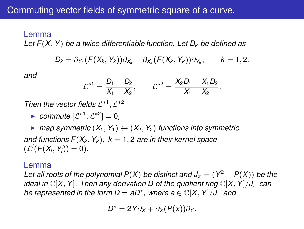#### Lemma

*Let F*(*X*, *Y*) *be a twice differentiable function. Let D<sup>k</sup> be defined as*

$$
D_k = \partial_{Y_k}(F(X_k,Y_k))\partial_{X_k} - \partial_{X_k}(F(X_k,Y_k))\partial_{Y_k}, \qquad k=1,2.
$$

*and*

$$
\mathcal{L}^{*1} = \frac{D_1 - D_2}{X_1 - X_2}, \qquad \mathcal{L}^{*2} = \frac{X_2 D_1 - X_1 D_2}{X_1 - X_2}.
$$

Then the vector fields  $\mathcal{L}^{*1}, \mathcal{L}^{*2}$ 

► *commute*  $[{\cal L}^{*1}, {\cal L}^{*2}] = 0$ *,* 

 $\triangleright$  *map symmetric*  $(X_1, Y_1) \leftrightarrow (X_2, Y_2)$  functions into symmetric, *and functions*  $F(X_k, Y_k)$ *,*  $k = 1, 2$  *are in their kernel space*  $(\mathcal{L}^i(F(X_j,Y_j))=0).$ 

#### Lemma

*Let all roots of the polynomial*  $P(X)$  *be distinct and*  $J_\pi = (Y^2 - P(X))$  *be the ideal in*  $\mathbb{C}[X, Y]$ *. Then any derivation D of the quotient ring*  $\mathbb{C}[X, Y]/J_{\pi}$  *can be represented in the form D =*  $aD^*$ *, where*  $a \in \mathbb{C}[X, Y]/J_\pi$  *and* 

$$
D^* = 2Y\partial_X + \partial_X(P(X))\partial_Y.
$$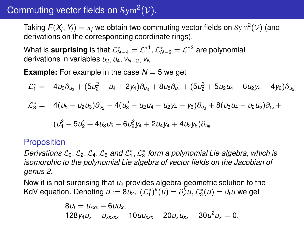# Commuting vector fields on  $\text{Sym}^2(\mathcal{V})$ .

Taking  $F(X_j,Y_j)=\pi_j$  we obtain two commuting vector fields on  $\mathrm{Sym}^2(\mathcal{V})$  (and derivations on the corresponding coordinate rings).

What is surprising is that  $\mathcal{L}_{N-4}^* = \mathcal{L}^{*1}, \mathcal{L}_{N-2}^* = \mathcal{L}^{*2}$  are polynomial derivations in variables  $u_2, u_4, v_{N-2}, v_N$ .

**Example:** For example in the case  $N = 5$  we get

$$
\mathcal{L}_1^* = \phantom{0} 4u_3\partial_{u_2} + (5u_2^2 + u_4 + 2y_4)\partial_{u_3} + 8u_5\partial_{u_4} + (5u_2^3 + 5u_2u_4 + 6u_2y_4 - 4y_6)\partial_{u_5}
$$

$$
\mathcal{L}_3^* = 4(u_5 - u_2 u_3)\partial_{u_2} - 4(u_3^2 - u_2 u_4 - u_2 y_4 + y_6)\partial_{u_3} + 8(u_3 u_4 - u_2 u_5)\partial_{u_4} +
$$

$$
(u_4^2 - 5u_2^4 + 4u_3u_5 - 6u_2^2y_4 + 2u_4y_4 + 4u_2y_6)\partial_{u_5}
$$

#### Proposition

Derivations  $\mathcal{L}_0, \mathcal{L}_2, \mathcal{L}_4, \mathcal{L}_6$  and  $\mathcal{L}_1^*, \mathcal{L}_3^*$  form a polynomial Lie algebra, which is *isomorphic to the polynomial Lie algebra of vector fields on the Jacobian of genus 2.*

Now it is not surprising that *u*<sup>2</sup> provides algebra-geometric solution to the KdV equation. Denoting  $u := 8u_2, \; (\mathcal{L}_1^*)^k(u) = \partial_x^k u, \mathcal{L}_3^*(u) = \partial_t u$  we get

$$
8u_t = u_{xxx} - 6uu_x,
$$
  

$$
128y_4u_x + u_{xxxx} - 10uu_{xxx} - 20u_xu_{xx} + 30u^2u_x = 0.
$$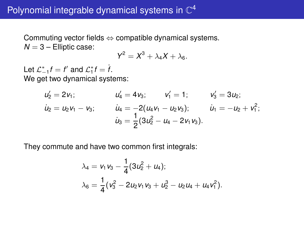Commuting vector fields  $\Leftrightarrow$  compatible dynamical systems.  $N = 3$  – Elliptic case:

$$
Y^2=X^3+\lambda_4X+\lambda_6.
$$

Let  $\mathcal{L}_{-1}^* f = f'$  and  $\mathcal{L}_1^* f = \dot{f}$ . We get two dynamical systems:

$$
u'_2 = 2v_1; \t u'_4 = 4v_3; \t v'_1 = 1; \t v'_3 = 3u_2; \n\dot{u}_2 = u_2v_1 - v_3; \t \dot{u}_4 = -2(u_4v_1 - u_2v_3); \t \dot{u}_1 = -u_2 + v_1^2; \n\dot{u}_3 = \frac{1}{2}(3u_2^2 - u_4 - 2v_1v_3).
$$

They commute and have two common first integrals:

$$
\lambda_4 = v_1 v_3 - \frac{1}{4} (3u_2^2 + u_4);
$$
  

$$
\lambda_6 = \frac{1}{4} (v_3^2 - 2u_2 v_1 v_3 + u_2^3 - u_2 u_4 + u_4 v_1^2).
$$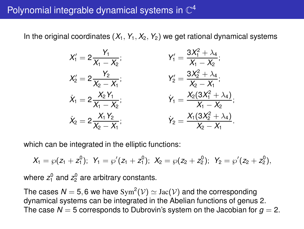## Polynomial integrable dynamical systems in  $\mathbb{C}^4$

In the original coordinates  $(X_1, Y_1, X_2, Y_2)$  we get rational dynamical systems

$$
X'_1 = 2 \frac{Y_1}{X_1 - X_2};
$$
  
\n
$$
X'_2 = 2 \frac{Y_2}{X_2 - X_1};
$$
  
\n
$$
\dot{X}_1 = 2 \frac{X_2 Y_1}{X_1 - X_2};
$$
  
\n
$$
\dot{X}_2 = 2 \frac{X_2 Y_1}{X_2 - X_1};
$$
  
\n
$$
\dot{X}_3 = 2 \frac{X_1 Y_2}{X_2 - X_1};
$$
  
\n
$$
\dot{X}_4 = 2 \frac{X_1 Y_2}{X_2 - X_1};
$$
  
\n
$$
\dot{Y}_2 = \frac{X_1 (3X_2^2 + \lambda_4)}{X_2 - X_1};
$$
  
\n
$$
\dot{Y}_3 = \frac{X_1 (3X_2^2 + \lambda_4)}{X_2 - X_1}.
$$

which can be integrated in the elliptic functions:

$$
X_1 = \wp(z_1 + z_1^0); \ \ Y_1 = \wp'(z_1 + z_1^0); \ \ X_2 = \wp(z_2 + z_2^0); \ \ Y_2 = \wp'(z_2 + z_2^0),
$$

where  $z_1^0$  and  $z_2^0$  are arbitrary constants.

The cases  $\mathcal{N}=5,6$  we have  $\mathrm{Sym}^2(\mathcal{V})\simeq \mathrm{Jac}(\mathcal{V})$  and the corresponding dynamical systems can be integrated in the Abelian functions of genus 2. The case  $N = 5$  corresponds to Dubrovin's system on the Jacobian for  $q = 2$ .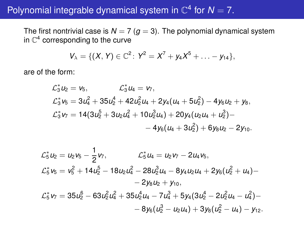## Polynomial integrable dynamical system in  $\mathbb{C}^4$  for  $N=7$ .

The first nontrivial case is  $N = 7$  ( $g = 3$ ). The polynomial dynamical system in  $\mathbb{C}^4$  corresponding to the curve

$$
V_\lambda=\{(X,Y)\in\mathbb{C}^2\colon\, Y^2=X^7+y_4X^5+\ldots-y_{14}\},
$$

are of the form:

$$
\mathcal{L}_3^* u_2 = v_5, \qquad \mathcal{L}_3^* u_4 = v_7, \n\mathcal{L}_3^* v_5 = 3u_4^2 + 35u_2^4 + 42u_2^2u_4 + 2y_4(u_4 + 5u_2^2) - 4y_6u_2 + y_8, \n\mathcal{L}_3^* v_7 = 14(3u_2^5 + 3u_2u_4^2 + 10u_2^3u_4) + 20y_4(u_2u_4 + u_2^3) -\n- 4y_6(u_4 + 3u_2^2) + 6y_8u_2 - 2y_{10}.
$$

$$
\mathcal{L}_5^* u_2 = u_2 v_5 - \frac{1}{2} v_7, \qquad \mathcal{L}_5^* u_4 = u_2 v_7 - 2 u_4 v_5, \n\mathcal{L}_5^* v_5 = v_5^2 + 14 u_2^5 - 18 u_2 u_4^2 - 28 u_2^3 u_4 - 8 y_4 u_2 u_4 + 2 y_6 (u_2^2 + u_4) - \\ - 2 y_8 u_2 + y_{10}, \n\mathcal{L}_5^* v_7 = 35 u_2^6 - 63 u_2^2 u_4^2 + 35 u_2^4 u_4 - 7 u_4^3 + 5 y_4 (3 u_2^4 - 2 u_2^2 u_4 - u_4^2) - \\ - 8 y_6 (u_2^3 - u_2 u_4) + 3 y_8 (u_2^2 - u_4) - y_{12}.
$$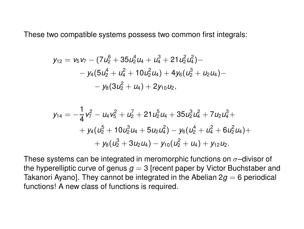These two compatible systems possess two common first integrals:

$$
y_{12} = v_5v_7 - (7u_2^6 + 35u_2^4u_4 + u_4^3 + 21u_2^2u_4^2) -- y_4(5u_2^4 + u_4^2 + 10u_2^2u_4) + 4y_6(u_2^3 + u_2u_4) -- y_8(3u_2^2 + u_4) + 2y_{10}u_2,
$$

$$
\begin{aligned} y_{14} & = -\frac{1}{4}v_7^2 - u_4v_5^2 + u_2^7 + 21u_2^5u_4 + 35u_2^3u_4^2 + 7u_2u_4^3 + \\ & + y_4(u_2^5 + 10u_2^3u_4 + 5u_2u_4^2) - y_6(u_2^4 + u_4^2 + 6u_2^2u_4) + \\ & + y_8(u_2^3 + 3u_2u_4) - y_{10}(u_2^2 + u_4) + y_{12}u_2. \end{aligned}
$$

These systems can be integrated in meromorphic functions on  $\sigma$ -divisor of the hyperelliptic curve of genus  $g = 3$  [recent paper by Victor Buchstaber and Takanori Ayano]. They cannot be integrated in the Abelian  $2q = 6$  periodical functions! A new class of functions is required.